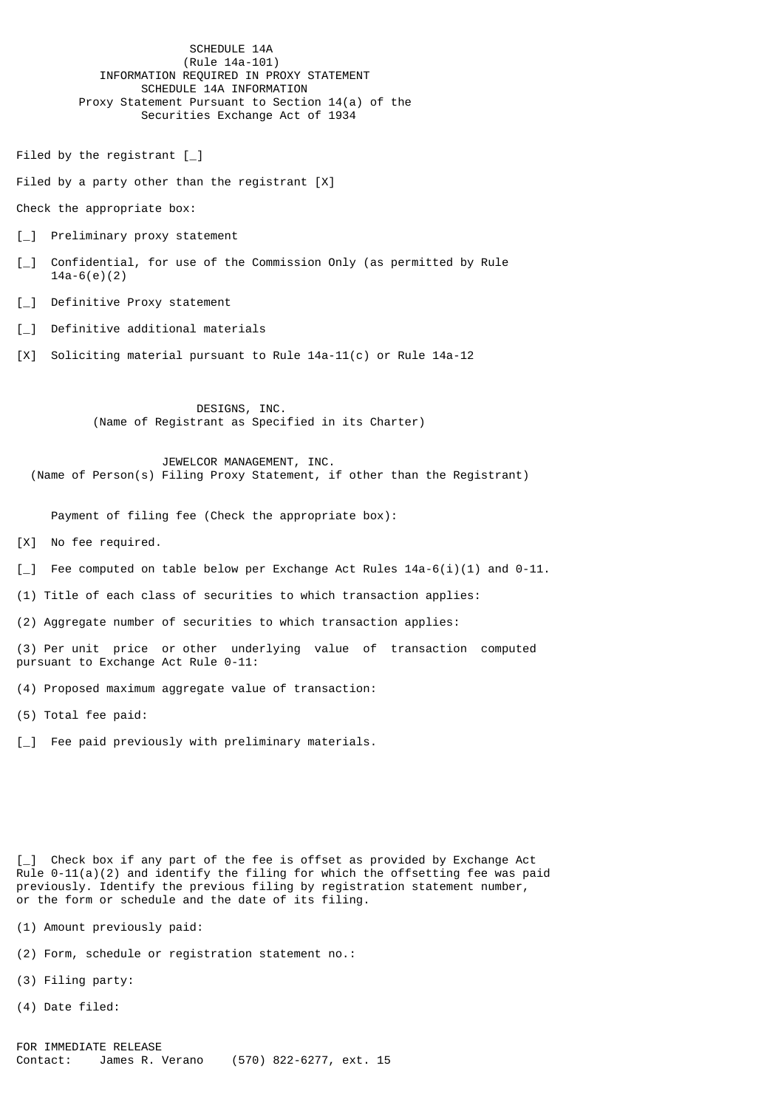SCHEDULE 14A (Rule 14a-101) INFORMATION REQUIRED IN PROXY STATEMENT SCHEDULE 14A INFORMATION Proxy Statement Pursuant to Section 14(a) of the Securities Exchange Act of 1934

Filed by the registrant [\_]

Filed by a party other than the registrant [X]

Check the appropriate box:

- [\_] Preliminary proxy statement
- [\_] Confidential, for use of the Commission Only (as permitted by Rule 14a-6(e)(2)
- [\_] Definitive Proxy statement
- [ ] Definitive additional materials
- [X] Soliciting material pursuant to Rule 14a-11(c) or Rule 14a-12

 DESIGNS, INC. (Name of Registrant as Specified in its Charter)

 JEWELCOR MANAGEMENT, INC. (Name of Person(s) Filing Proxy Statement, if other than the Registrant)

Payment of filing fee (Check the appropriate box):

[X] No fee required.

- $\lceil$  Fee computed on table below per Exchange Act Rules 14a-6(i)(1) and 0-11.
- (1) Title of each class of securities to which transaction applies:
- (2) Aggregate number of securities to which transaction applies:

(3) Per unit price or other underlying value of transaction computed pursuant to Exchange Act Rule 0-11:

(4) Proposed maximum aggregate value of transaction:

(5) Total fee paid:

[\_] Fee paid previously with preliminary materials.

[] Check box if any part of the fee is offset as provided by Exchange Act  $Rule 0-11(a)(2)$  and identify the filing for which the offsetting fee was paid previously. Identify the previous filing by registration statement number, or the form or schedule and the date of its filing.

(1) Amount previously paid:

- (2) Form, schedule or registration statement no.:
- (3) Filing party:
- (4) Date filed: